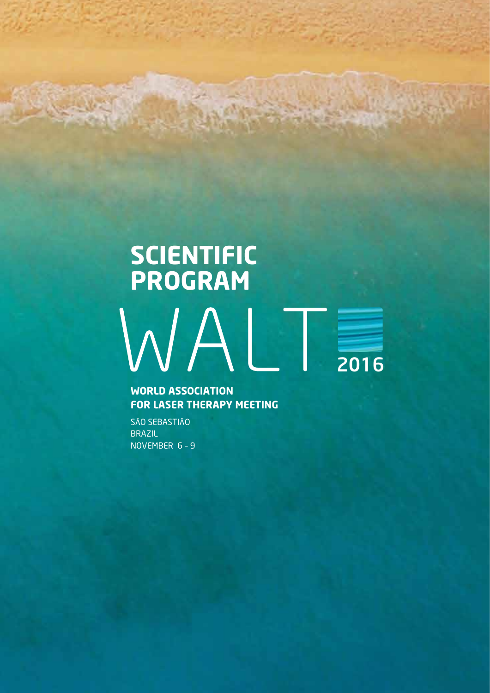# **SCIENTIFIC<br>PROGRAM**  $WALT$

**WORLD ASSOCIATION FOR LASER THERAPY MEETING** 

SÃO SEBASTIÃO **BRAZIL** NOVEMBER 6-9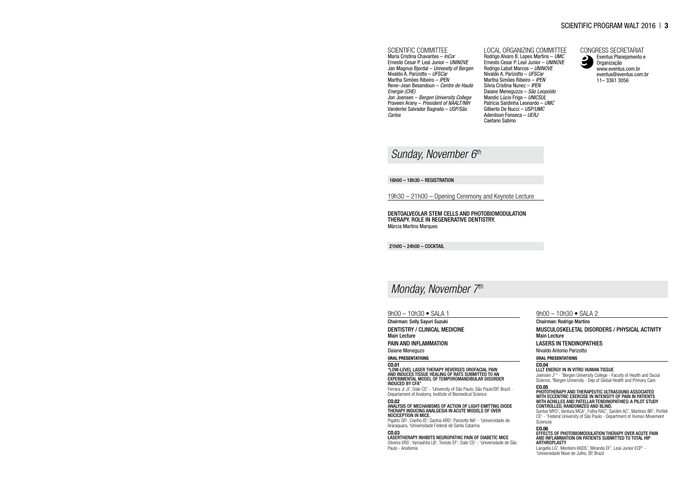16h00 – 18h30 – REGISTRATION

19h30 – 21h00 – Opening Ceremony and Keynote Lecture

Dentoalveolar stem cells and photobiomodulation therapy. Role in regenerative dentistry. Márcia Martins Marques

21h00 – 24h00 – COCKTAIL

9h00 – 10h30 • SALA 1

"LOW-LEVEL LASER THERAPY REVERSES OROFACIAL PAIN<br>AND INDUCES TISSUE HEALING OF RATS SUBMITTED TO A<br>EXPERIMENTAL MODEL OF TEMPOROMANDIBULAR DISOR induced by CFA"

Chairman: Selly Sayuri Suzuki Dentistry / Clinical Medicine

Main Lecture

Ferrara Jr Jl<sup>1</sup>, Dale CS<sup>1</sup> - <sup>1</sup>University of São Paulo, São Paulo/SP, Brazil -Departament of Anatomy, Institute of Biomedical Science

Pain and Inflammation

Daiane Meneguzo

Oral Presentations

CO.01

Pigatto GR<sup>1</sup>, Coelho IS<sup>2</sup>, Santos ARS<sup>2</sup>, Parizotto NA<sup>1</sup> - <sup>1</sup>Universidade de Araraquara, <sup>2</sup> Universidade Federal de Santa Catarina

### CO.02

Joensen J<sup>1,2</sup> - <sup>1</sup>Bergen University College - Faculty of Health and Social Science, <sup>2</sup>Bergen University - Dep.of Global Health and Primary Care CO.05

ANALYSIS OF MECHANISMS OF ACTION OF LIGHT-EMITTING DIODE THERAPY INDUCING ANALGESIA IN ACUTE MODELS OF OVER NOCICEPTION IN MICE.

CO.03

Langella LG<sup>1</sup>, Monteiro KKDS<sup>1</sup>, Miranda EF<sup>1</sup>, Leal-Junior ECP<sup>1</sup> -<br><sup>1</sup>Universidade Nove de Julho, SP Brazil Universidade Nove de Julho, SP, Brazil

Lasertherapy Inhibits Neuropathic Pain of Diabetic Mice Oliveira VRS<sup>1</sup>, Yamashita LB<sup>1</sup>, Toniolo EF<sup>1</sup>, Dale CS<sup>1</sup> - <sup>1</sup>Universidade de São Paulo - Anatomia

### SCIENTIFIC PROGRAM WALT 2016 | 3

9h00 – 10h30 • SALA 2

### Chairman: Rodrigo Martins

Musculoskeletal Disorders / Physical Activity Main Lecture

### Lasers in Tendinopathies

Nivaldo Antonio Parizotto

### Oral Presentations

### CO.04

LLLT energy in in vitro human tissue

Phototherapy and Therapeutic Ultrasound associated with eccentric exercise in intensity of pain in patients with Achilles and patellar tendinopathies: A Pilot study controlled, randomized and blind.

Santos MYO<sup>1</sup>, Ventura MCA<sup>1</sup>, Folha RAC<sup>1</sup>, Sardim AC<sup>1</sup>, Martinez BR<sup>1</sup>, Pinfildi CE1 - 1 Federal University of São Paulo - Department of Human Movement **Sciences** 

### CO.06

EFFECTS OF PHOTOBIOMODULATION THERAPY OVER ACUTE PA<br>AND INFLAMMATION ON PATIENTS SUBMITTED TO TOTAL HIP ARTHROPLASTY

### *Sunday, November 6th*

### *Monday, November 7th*

### SCIENTIFIC COMMITTEE

Maria Cristina Chavantes – *InCor* Ernesto Cesar P. Leal Junior – *UNINOVE* Jan Magnus Bjordal – *Univesity of Bergen* Nivaldo A. Parizotto – *UFSCar* Martha Simões Ribeiro – *IPEN* Rene–Jean Besandoun – *Centre de Haute Energie (CHE)* Jon Joensen – *Bergen University College* Praveen Arany – *President of NAALT/NIH* Vanderlei Salvador Bagnato – *USP/São Carlos*

LOCAL ORGANIZING COMMITTEE Rodrigo Alvaro B. Lopes Martins – *UMC* Ernesto Cesar P. Leal Junior – *UNINOVE*



Rodrigo Labat Marcos – *UNINOVE* Nivaldo A. Parizotto – *UFSCar* Martha Simões Ribeiro – *IPEN* Silvia Cristina Nunez – *IPEN* Daiane Meneguzzo – *São Leopoldo* Mandic Lúcio Frigo – *UNICSUL* Patrícia Sardinha Leonardo – *UMC* Gilberto De Nucci – *USP/UMC* Adenilson Fonseca – *UERJ* Caetano Sabino

CONGRESS SECRETARIAT Eventus Planejamento e Organização www.eventus.com.br eventus@eventus.com.br 11– 3361 3056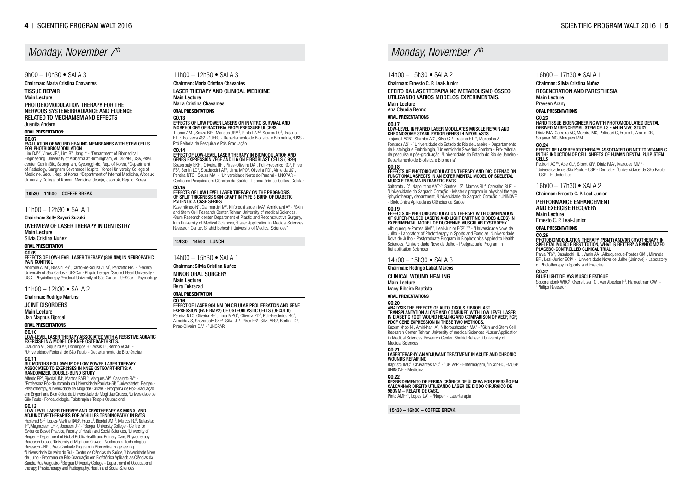11h00 – 12h30 • SALA 3

Chairman: Maria Cristina Chavantes Laser Therapy and Clinical Medicine Main Lecture Maria Cristina Chavantes

### Oral Presentations CO.13

# EFFECTS OF LOW POWER LASERS ON IN VITRO SURVIVAL A<br>MORPHOLOGY OF BACTERIA FROM PRESSURE ULCERS

Thomé AM<sup>1</sup>, Souza BP<sup>2</sup>, Mendes JPM<sup>2</sup>, Pinto LAP<sup>2</sup>, Soares LC<sup>2</sup>, Trajano ETL<sup>2</sup>, Fonseca AS<sup>1</sup> - <sup>1</sup>UERJ - Departamento de Biofísica e Biometria, <sup>2</sup>USS -Pró Reitoria de Pesquisa e Pós Graduação

Szezerbaty SKF<sup>1</sup>, Oliveira RF<sup>1</sup>, Pires-Oliveira DA<sup>1</sup>, Poli-Frederico RC<sup>1</sup>, Pires FB<sup>1</sup>, Bertin LD<sup>1</sup>, Spadaccini AF<sup>1</sup>, Lima MPO<sup>1</sup>, Oliveira PD<sup>1</sup>, Almeida JS<sup>1</sup>, Pereira NTC<sup>1</sup>, Souza MV<sup>1</sup> - <sup>1</sup>Universidade Norte do Paraná - UNOPAR -Centro de Pesquisa em Ciências da Saúde - Laboratório de Cultura Celular

### CO.14 Effect of low-level laser therapy in biomodulation and genes expression VEGF and IL6 on fibroblast cells (L929)

Kazemikhoo N<sup>1</sup>, Dahmardei M<sup>2</sup>, Nilforoushzadeh MA<sup>1</sup>, Amirkhani A<sup>3</sup> - 1Skin and Stem Cell Research Center, Tehran University of medical Sciences, 2 Burn Research center, Department of Plastic and Reconstructive Surgery, Iran University of Medical Sciences, <sup>3</sup>Laser Application in Medical Sciences Research Center, Shahid Beheshti University of Medical Sciences"

### CO.15 Effects of Low Level Laser Therapy on the prognosis of Split Thickness Skin Graft in Type 3 Burn of Diabetic Patients: A case series

Trajano LASN<sup>1</sup>, Stumbo AC<sup>1</sup>, Silva CL<sup>1</sup>, Trajano ETL<sup>2</sup>, Mencalha AL<sup>3</sup>, Fonseca AS<sup>3</sup> - <sup>1</sup>Universidade do Estado do Rio de Janeiro - Departamento de Histologia e Embriologia, <sup>2</sup> Universidade Severino Sombra - Pró-reitoria de pesquisa e pós-graduação, <sup>3</sup> Universidade do Estado do Rio de Janeiro - Departamento de Biofísica e Biometria"

### 12h30 – 14h00 – LUNCH

Saltorato JC<sup>1</sup>, Napolitano AAT<sup>2,3</sup>, Santos LS<sup>1</sup>, Marcos RL<sup>4</sup>, Carvalho RLP<sup>1</sup> -<br><sup>1</sup>Universidade do Sagrado Coração - Master's program in physical therapy, 2 physiotherapy department, 3 Universidade do Sagrado Coração, <sup>4</sup> UNINOVE - Biofotônica Aplicada as Ciências da Saúde

### 14h00 – 15h30 • SALA 1

Effects of photobiomodulation therapy with combination of super-pulsed lasers and light emitting diodes (LEDs) in experimental model of Duchenne Muscular Dystrophy Albuquerque-Pontes GM<sup>1,2</sup>, Leal-Junior ECP<sup>1,2,3</sup> - <sup>1</sup>Universidade Nove de

### Chairman: Silvia Cristina Nuñez

### Minor Oral Surgery

Main Lecture Reza Fekrazad

### Oral Presentation

### CO.16 Effect of laser 904 nm on celular proliferation and gene expression (FA E BMP2) of osteoblastic cells (OFCOL II)

Pereira NTC, Oliveira RF<sup>1</sup>, Lima MPO<sup>1</sup>, Oliveira PD<sup>1</sup>, Poli-Frederico RC<sup>1</sup>, Almeida JS, Szezerbaty SKF<sup>1</sup>, Silva JL<sup>1</sup>, Pires FB<sup>1</sup>, Silva AFS<sup>1</sup>, Bertin LD<sup>1</sup>, Pires-Oliveira DA<sup>1</sup> - <sup>1</sup>UNOPAR

### $14h00 - 15h30 \bullet SAI A2$

Julho - Laboratory of Phototherapy in Sports and Exercise, <sup>2</sup>Universidade Nove de Julho - Postgraduate Program in Biophotonics Applied to Health Sciences, <sup>3</sup>Universidade Nove de Julho - Postgraduate Program in Rehabilitation Sciences

### CO.20 ANALYSIS THE EFFECTS OF AUTOLOGOUS FIBROBLAST<br>TRANSPLANTATION ALONE AND COMBINED WITH LOW LEVEL LASER<br>IN DIABETIC FOOT WOUND HEALING AND COMPARISON OF VEGF, FGF,<br>PDGF GENE EXPRESSION IN THESE TWO METHODS.

Chairman: Ernesto C. P. Leal-Junior

Kazemikhoo N<sup>1</sup>, Amirkhani A<sup>2</sup>, Nilforoushzadeh MA<sup>1</sup> - <sup>1</sup>Skin and Stem Cell Research Center, Tehran University of medical Sciences, <sup>2</sup>Laser Application in Medical Sciences Research Center, Shahid Beheshti University of Medical Sciences

### Efeito da Laserterapia no Metabolismo Ósseo Utilizando Vários Modelos Experimentais. Main Lecture Ana Claudia Renno

### Oral Presentations

Baptista IMC<sup>1</sup>, Chavantes MC<sup>2</sup> - <sup>1</sup>UNIVAP - Enfermagem, <sup>2</sup>InCor-HC/FMUSP; UNINOVE - Medicina

CO.22 Desbridamento de ferida crônica de úlcera por pressão em calcanhar direito utilizando laser de diodo cirúrgico de 980nm – Relato de caso. Pinto AMFF<sup>1</sup>, Lopes LA<sup>1</sup> - <sup>1</sup>Nupen - Laserterapia

### CO.17

### LOW-LEVEL INFRARED LASER MODULATES MUSCLE REPAIR AND CHROMOSOME STABILIZATION GENES IN MYOBLASTS

Pedroni ACF<sup>1</sup>, Abe GL<sup>1</sup>, Sipert CR<sup>2</sup>, Diniz IMA<sup>1</sup>, Marques MM<sup>1</sup> -<br><sup>1</sup> Iniversidade de São Paulo - USP - Dentistry <sup>2</sup> Iniversidade de Universidade de São Paulo - USP - Dentistry, <sup>2</sup>Universidade de São Paulo - USP - Endodontics

### CO.18

# EFFECTS OF PHOTOBIOMODULATION THERAPY AND DICLOFENAC OI<br>FUNCTIONAL ASPECTS IN AN EXPERIMENTAL MODEL OF SKELETAL<br>MUSCLE TRAUMA IN DIABETIC RATS.

Paiva PRV<sup>1</sup>, Casalechi HL<sup>1</sup>, Vanin AA<sup>1</sup>, Albuquerque-Pontes GM<sup>1</sup>, Miranda EF<sup>1</sup>, Leal-Junior ECP<sup>1</sup> - <sup>1</sup>Universidade Nove de Julho (Uninove) - Laboratory of Phototherapy in Sports and Exercise

Spoorendonk WHC<sup>1</sup>, Oversluizen G<sup>1</sup>, van Abeelen F<sup>1</sup>, Hameetman CW<sup>1</sup> -<br><sup>1</sup>Philins Besearch Philips Research

PHOTOBIOMODULATION THERAPY FOR THE Nervous System:irradiance and fluence related to mechanism and effects

### CO.19

Lim  $DJ^{1,2}$ , Vines JB<sup>1</sup>, Lim B<sup>3</sup>, Jang  $I^4$  - <sup>1</sup>Department of Biomedical Engineering, University of Alabama at Birmingham, AL 35294, USA, <sup>2</sup>R&D center, Cas In Bio, Seongnam, Gyeonggi-do, Rep. of Korea, <sup>3</sup>Department of Pathology, Gangnam Severance Hospital, Yonsei University College of Medicine, Seoul, Rep. of Korea, <sup>4</sup> Department of Internal Medicine, Woosuk University College of Korean Medicine, Jeonju, Jeonjuk, Rep. of Korea

### 14h00 – 15h30 • SALA 3

### Chairman: Rodrigo Labat Marcos

Andrade ALM<sup>1</sup>, Bossini PS<sup>2</sup>, Canto-de-Souza ALM<sup>3</sup>, Parizotto NA<sup>1</sup> - <sup>1</sup>Federal University of São Carlos - UFSCar - Physiotherapy, <sup>2</sup>Sacred Heart University -USC - Physiotherapy, <sup>3</sup> Federal University of São Carlos - UFSCar – Psychology

Clinical Wound Healing

Main Lecture

Ivany Ribeiro Baptista Oral Presentations

Claudino V<sup>1</sup>, Siqueira A<sup>1</sup>, Domingos H<sup>1</sup>, Assis L<sup>1</sup>, Renno ACM<sup>1</sup> -<br>1l Iniversidade Federal de São Paulo - Departamento de Biociên Universidade Federal de São Paulo - Departamento de Biociências CO.11

Alfredo PP<sup>1</sup>, Bjordal JM<sup>2</sup>, Martins RABL<sup>3</sup>, Marques AP<sup>4</sup>, Casarotto RA<sup>4</sup> -<br><sup>1</sup>Professora Pós-doutoranda da Universidade Paulista SP <sup>2</sup>Llniversitetet Professora Pós-doutoranda da Universidade Paulista-SP, <sup>2</sup>Universitetet i Bergen -Physiotherapy, <sup>3</sup>Universidade de Mogi das Cruzes - Programa de Pós-Graduação em Engenharia Biomédica da Universidade de Mogi das Cruzes, <sup>4</sup> Universidade de São Paulo - Fonoaudiologia, Fisioterapia e Terapia Ocupacional

CO.12<br>LOW LEVEL LASER THERAPY AND CRYOTHERAPY AS MONO- A<br>ADJUNCTIVE THERAPIES FOR ACHILLES TENDINOPATHY IN RA

### CO.21 LASERTERAPHY: AN ADJUVANT TREATMENT IN ACUTE AND CHRONIC WOUNDS REPAIRING

Haslerud S<sup>1,2</sup>, Lopes-Martins RAB<sup>3</sup>, Frigo L<sup>4</sup>, Bjordal JM<sup>1,2</sup>, Marcos RL<sup>5</sup>, Naterstad IF<sup>2</sup>, Magnussen LH<sup>6,2</sup>, Joensen J<sup>6,2</sup> - <sup>1</sup>Bergen University College - Centre for Evidence Based Practice, Faculty of Health and Social Sciences, <sup>2</sup> University of Bergen - Department of Global Public Health and Primary Care, Physiotherapy Research Group, <sup>3</sup>University of Mogi das Cruzes - Nucleous of Technological Research - NPT, Post-Graduate Program in Biomedical Engeneering, 4 Universidade Cruzeiro do Sul - Centro de Ciências da Saúde, <sup>5</sup> Universidade Nove de Julho - Programa de Pós-Graduação em Biofotônica Aplicada as Ciências da Saúde. Rua Vergueiro, <sup>6</sup>Bergen University College - Department of Occupational therapy, Physiotherapy and Radiography, Health and Social Sciences

15h30 – 16h00 – COFFEE BREAK

### 16h00 – 17h30 • SALA 1

Chairman: Silvia Cristina Nuñez

### Regeneration and Paresthesia

Main Lecture

Praveen Arany

Oral Presentations

### CO.23

### Hard tissue bioengineering with photomodulated dental derived mesenchymal stem cells - an in vivo study

Diniz IMA, Carreira AC, Moreira MS, Pelissari C, Freire L, Araujo DR, Sogayar MC, Marques MM

### CO.24

Effect of laserphototherapy associated or not to Vitamin C in the induction of cell sheets of human dental pulp stem cells

16h00 – 17h30 • SALA 2

### Chairman: Ernesto C. P. Leal-Junior Performance Enhancement and Exercise Recovery

Main Lecture

Ernesto C. P. Leal-Junior

### Oral Presentations

### CO.26

# PHOTOBIOMODULATION THERAPY (PBMT) AND/OR CRYOTHERAPY IN SKELETAL MUSCLE RESTITUTION, WHAT IS BETTER? A RANDOMIZED PLACEBO-CONTROLLED CLINICAL TRIAL

### CO.27

BLUE LIGHT DELAYS MUSCLE FATIGUE

# *Monday, November 7th Monday, November 7th*

### 9h00  $- 10h30 \cdot S$ ALA 3

### Chairman: Maria Cristina Chavantes

### Tissue Repair Main Lecture

### Juanita Anders

Oral Presentation:

### CO.07

### Evaluation of wound healing membranes with stem cells for photbiobiomodulation

### 10h30 – 11h00 – COFFEE BREAK

### 11h00 - 12h30 • SALA 1

Chairman: Selly Sayuri Suzuki

### Overview of Laser Therapy in Dentistry Main Lecture

Silvia Cristina Nuñez

Oral Presentation

### CO.09 EFFECTS OF LOW-LEVEL LASER THERAPY (808 NM) IN NEUROPATHIC PAIN CONTROL

### 11h00 – 12h30 • SALA 2

### Chairman: Rodrigo Martins

Joint Disorders Main Lecture

### Jan Magnus Bjordal

Oral Presentations

### CO.10

### Low-level laser therapy associated with a resistive aquatic exercise in a model of knee osteoarthritis.

### SIX MONTHS FOLLOW-UP OF LOW POWER LASER THERAPY ASSOCIATED TO EXERCISES IN KNEE OSTEOARTHRITIS: A RANDOMIZED, DOUBLE-BLIND STUDY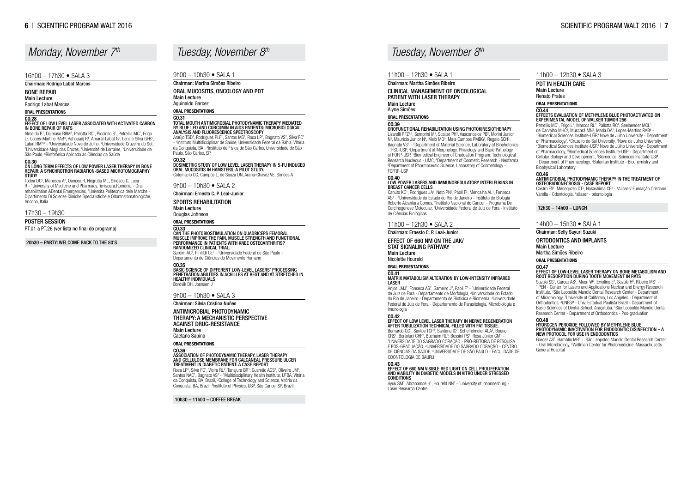### Chairman: Martha Simões Ribeiro

Clinical Management of Oncological Patient with Laser Therapy Main Lecture Alyne Simões

### Oral Presentations

### CO.39

OROFUNCTIONAL REHABILITATION USING PHOTOKINESIOTHERAPY Lizarelli RFZ<sup>1,2</sup>, Semprini M<sup>2</sup>, Scalize PH<sup>2</sup>, Vasconcelos PB<sup>2</sup>, Morini Junior N<sup>3</sup>, Mauricio Junior N<sup>4</sup>, Melo MO<sup>5</sup>, Maia Campos PMBG<sup>5</sup>, Regalo SCH<sup>2</sup>, Bagnato VS<sup>1</sup> - <sup>1</sup>Department of Material Science, Laboratory of Biophotonics - IFSC-USP, <sup>2</sup> Department of Morphology, Phisiology and Basic Pathology of FORP-USP, <sup>3</sup>Biomedical Engineer of Graduation Program, Technological Research Nucleous - UMC, <sup>4</sup> Department of Cosmetic Research - Neofarma, 5 Department of Pharmaceutic Science, Laboratory of Cosmetology - FCFRP-USP

Canuto KC<sup>1</sup>, Rodrigues JA<sup>1</sup>, Neto PN<sup>2</sup>, Paoli F<sup>3</sup>, Mencalha AL<sup>1</sup>, Fonseca AS<sup>1</sup> - <sup>1</sup>Universidade do Estado do Rio de Janeiro - Instituto de Biologia Roberto Alcantara Gomes, <sup>2</sup>Instituto Nacional do Cancer - Programa De Carcinogenese Molecular, <sup>3</sup>Universidade Federal de Juiz de Fora - Instituto de Ciências Biológicas

### CO.40

### LOW POWER LASERS AND IMMUNOREGULATORY INTERLEUKINS IN BREAST CANCER CELLS

Bernardo GC<sup>1</sup>, Santos TCP<sup>1</sup>, Santana IC<sup>2</sup>, Scheffelmeier ALA<sup>2</sup>, Bueno CRS<sup>2</sup>, Bortoluci CHF<sup>2</sup>, Buchaim RL<sup>3</sup>, Bossini PS<sup>1</sup>, Rosa Júnior GM<sup>1</sup> -<br>11 INIVERSIDADE DO SAGRADO CORAÇÃO - PRÓ-REITORIA DE PESC UNIVERSIDADE DO SAGRADO CORAÇÃO - PRÓ-REITORIA DE PESQUISA E PÓS-GRADUAÇÃO, <sup>2</sup> UNIVERSIDADE DO SAGRADO CORAÇÃO - CENTRO DE CIÊNCIAS DA SAÚDE, <sup>3</sup> UNIVERSIDADE DE SÃO PAULO - FACULDADE DE ODONTOLOGIA DE BAURU

11h00 – 12h30 • SALA 2

Ayuk SM<sup>1</sup>, Abrahamse H<sup>1</sup>, Houreld NN<sup>1</sup> - <sup>1</sup>university of johannesburg -Laser Research Centre

Chairman: Ernesto C. P. Leal-Junior

### Effect of 660 nm on the JAK/

STAT Signaling Pathway Main Lecture Nicolette Houreld

### Oral Presentations

### CO.41 MATRIX MATABOLISM ALTERATION BY LOW-INTENSITY INFRARED LASER

Anjos LMJ<sup>1</sup>, Fonseca AS<sup>2</sup>, Gameiro J<sup>3</sup>, Paoli F<sup>1</sup> - <sup>1</sup>Universidade Federal de Juiz de Fora - Departamento de Morfologia, <sup>2</sup> Universidade do Estado do Rio de Janeiro - Departamento de Biofísica e Biometria, <sup>3</sup> Universidade Federal de Juiz de Fora - Departamento de Parasitologia, Microbiologia e Imunologia

Petrellis MC<sup>1</sup>, Frigo L<sup>2</sup>, Marcos RL<sup>3</sup>, Pallotta RC<sup>4</sup>, Seelaender MCL<sup>5</sup>, de Carvalho MHC<sup>6</sup>, Muscará MN<sup>6</sup>, Maria DA<sup>7</sup>, Lopes-Martins RAB<sup>6</sup> -<br>1Biomedical Sciences Institute-USP/ Nove de Julho University - Dena Biomedical Sciences Institute-USP/ Nove de Julho University - Department of Pharmacology/, <sup>2</sup>Cruzeiro do Sul University, <sup>3</sup>Nove de Julho University, 4 Biomedical Sciences Institute-USP/ Nove de Julho University - Department of Pharmacology, <sup>5</sup>Biomedical Sciences Institute-USP - Department of Cellular Biology and Development, <sup>6</sup> Biomedical Sciences Institute-USP - Department of Pharmacology, <sup>7</sup> Butantan Institute - Biochemistry and Biophysical Laboratory

### CO.42

# EFFECT OF LOW LEVEL LASER THERAPY IN NERVE REGENERATION AFTER TUBULIZATION TECHNICAL FILLED WITH FAT TISSUE.

Suzuki SS<sup>1</sup>, Garcez AS<sup>2</sup>, Moon W<sup>3</sup>, Ervolino E<sup>4</sup>, Suzuki H<sup>5</sup>, Ribeiro MS<sup>1</sup> -<br><sup>1</sup> IPEN - Center for Lasers and Applications Nuclear and Energy Besearc <sup>1</sup> IPEN - Center for Lasers and Applications Nuclear and Energy Research Institute, 2 São Leopoldo Mandic Dental Research Center - Department of Microbiology, <sup>3</sup> University of California, Los Angeles - Department of Orthodontics, 4 UNESP - Univ. Estadual Paulista Brazil - Department of Basic Sciences of Dental School, Araçatuba, <sup>5</sup>São Leopoldo Mandic Dental Research Center - Department of Orthodontics - Pos-graduation

### CO.43

Garcez AS<sup>1</sup>, Hamblin MR<sup>2</sup> - <sup>1</sup> São Leopoldo Mandic Dental Research Center - Oral Microbiology, <sup>2</sup> Wellman Center for Photomedicine, Massachusetts General Hospital

### EFFECT OF 660 NM VISIBLE RED LIGHT ON CELL PROLIFERATION AND VIABILITY IN DIABETIC MODELS IN VITRO UNDER STRESSED CONDITIONS

### 11h00 – 12h30 • SALA 3

### PDT in Health Care Main Lecture Renato Prates

Oral Presentations

### CO.44

### EFFECTS EVALUATION OF METHYLENE BLUE PHOTOACTIVATED C<br>EXPERIMENTAL MODEL OF WALKER TUMOR 256

Araújo TSD<sup>1</sup>, Rodrigues PLF<sup>1</sup>, Santos MS<sup>1</sup>, Rosa LP<sup>1</sup>, Bagnato VS<sup>2</sup>, Silva FC<sup>1</sup> - 1 Instituto Multidisciplinar de Saúde, Universidade Federal da Bahia, Vitória da Conquista, BA., <sup>2</sup>Instituto de Física de São Carlos, Universidade de São Paulo, São Carlos, SP.

Sardim AC<sup>1</sup>, Pinfildi CE<sup>1</sup> - <sup>1</sup>Universidade Federal de São Paulo -Departamento de Ciências do Movimento Humano

ASSOCIATION OF PHOTODYNAMIC THERAPY, LASER THERAPY AND CELLULOSE MEMBRANE FOR CALCANEAL PRESSURE ULCER TREATMENT IN DIABETIC PATIENT: A CASE REPORT Rosa LP<sup>1</sup>, Silva FC<sup>1</sup>, Vieira RL<sup>2</sup>, Tanajura BR<sup>1</sup>, Gusmão AGS<sup>1</sup>, Oliveira JM<sup>1</sup>, Santos NAC<sup>1</sup>, Bagnato VS<sup>3</sup> - <sup>1</sup>Multidisciplinary Health Institute, UFBA, Vitória da Conquista, BA, Brazil, <sup>2</sup>College of Technology and Science, Vitória da Conquista, BA, Brazil, <sup>3</sup>Institute of Physics, USP, São Carlos, SP, Brazil

CO.46 Antimicrobial Photodynamic therapy in the treatment of osteoradionecrosis - case report

Castro FS<sup>1</sup>, Meneguzzo DT<sup>2</sup>, Nakashima CF<sup>2</sup> - <sup>1</sup>Allaser/ Fundação Cristiano Varella - Odontologia, <sup>2</sup>allaser - odontologia

12h30 – 14h00 – LUNCH

14h00 – 15h30 • SALA 1

Chairman: Selly Sayuri Suzuki Ortodontics and Implants Main Lecture Martha Simões Ribeiro

Oral Presentations

### CO.47

EFFECT OF LOW-LEVEL LASER THERAPY ON BONE METABOLISM A<br>ROOT RESORPTION DURING TOOTH MOVEMENT IN RATS

Todea DC<sup>1</sup>, Manescu A<sup>2</sup>, Oancea R, Negrutiu ML, Sinescu C, Luca R - <sup>1</sup> University of Medicine and Pharmacy,Timisoara,Romania - Oral rehabilitation &Dental Emergencies, <sup>2</sup> Univrsita Politecnica dele Marche - Dipartimento Di Scienze Cliniche Specialistiche e Odontostomatologiche, Ancona, Italia

> CO.48 Hydrogen peroxide followed by methylene blue photodynamic inactivation for endodontic disinfection – a new protocol for use in Endodontics

### *Tuesday, November 8th Tuesday, November 8th*

9h00 – 10h30 • SALA 1

Chairman: Martha Simões Ribeiro Oral Mucositis, Oncology and PDT Main Lecture Aguinaldo Garcez Oral Presentations

### CO.31

### Total mouth Antimicrobial Photodynamic Therapy mediated by blue LED and curcumin in AIDS patients: microbiological analysis and fluorescence spectroscopy

### CO.32

### DOSIMETRIC STUDY OF LOW LEVEL LASER THERAPY IN 5-FU INDUCED ORAL MUCOSITIS IN HAMSTERS: A PILOT STUDY.

Cotomacio CC, Campos L, de Souza DN, Arana-Chavez VE, Simões A

### 9h00 – 10h30 • SALA 2

### Chairman: Ernesto C. P. Leal-Junior

Sports Rehabilitation Main Lecture

### Douglas Johnson

### Oral Presentations

### CO.33

Can the photobiostimulation on quadriceps femoral muscle improve the pain, muscle strength and functional performance in patients with knee osteoarthritis? Randomized clinical trial.

### CO.35

Basic science of different low-level lasers' processing penetration abilities in Achilles at rest and at stretched in healthy individuals Bordvik DH, Joensen J

### 9h00 – 10h30 • SALA 3

### Chairman: Silvia Cristina Nuñes

Antimicrobial Photodynamic Therapy: A Mechanistic Perspective Against Drug-Resistance Main Lecture Caetano Sabino

Oral Presentations

### CO.36

10h30 – 11h00 – COFFEE BREAK

### $11h00 - 12h30 \bullet SAI A 1$

### 16h00 – 17h30 • SALA 3

### Chairman: Rodrigo Labat Marcos

### Bone Repair Main Lecture

### Rodrigo Labat Marcos

### Oral Presentations

### CO.28

### EFFECT OF LOW LEVEL LASER ASSOCIATED WITH ACTIVATED CARBO<br>IN BONE REPAIR OF RATS

Almeida P<sup>1</sup>, Dalmaso RBM<sup>1</sup>, Pallotta RC<sup>1</sup>, Piccirillo S<sup>1</sup>, Petrellis MC<sup>1</sup>, Frigo L<sup>2</sup>, Lopes-Martins RAB<sup>3</sup>, Rahouadj R<sup>4</sup>, Amaral-Labat G<sup>5</sup>, Lenz e Silva GFB<sup>5</sup>, Labat RM<sup>1,6</sup> - <sup>1</sup>Universidade Nove de Julho, <sup>2</sup>Universidade Cruzeiro do Sul, <sup>3</sup>Universidade Mogi das Cruzes, <sup>4</sup>Université de Lorraine, <sup>5</sup>Universidade de São Paulo, <sup>6</sup>Biofotônica Aplicada às Ciências da Saúde

### CO.30 On Long Term effects of Low Power Laser Therapy in Bone Repair: a Synchrotron Radiation-based Microtomography study

17h30 – 19h30

### Poster Session

PT.01 a PT.26 (ver lista no final do programa)

20h30 – PARTY: WELCOME BACK TO THE 80'S

# *Monday, November 7th*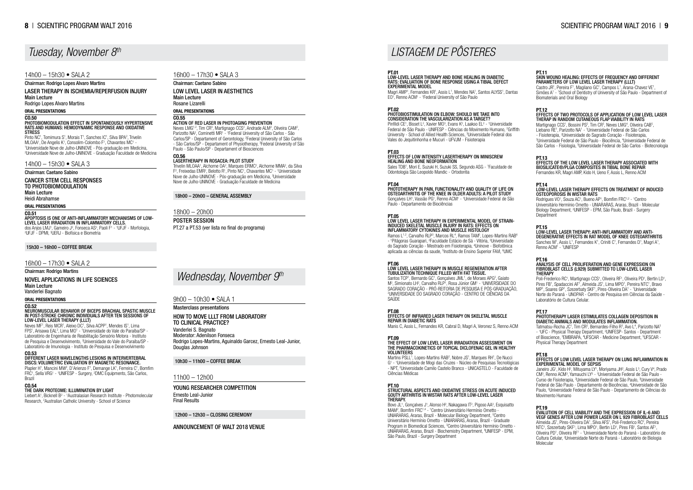### PT.01

# Low-level laser therapy and bone healing in diabetic rats: evaluation of bone response using a tibial defect experimental model

Magri AMP<sup>1</sup>, Fernandes KR<sup>1</sup>, Assis L<sup>1</sup>, Mendes NA<sup>1</sup>, Santos ALYSS<sup>1</sup>, Dantas EO<sup>1</sup>, Renno ACM<sup>1</sup> - <sup>1</sup> Federal University of São Paulo

### PT.02

Pinfildi CE<sup>1</sup>, Bisset L<sup>2</sup>, Xavier MO<sup>3</sup>, Evans K<sup>2</sup>, Laakso EL<sup>2</sup> - <sup>1</sup>Universidade Federal de São Paulo - UNIFESP - Ciências do Movimento Humano, <sup>2</sup>Griffith University - School of Allied Health Sciences, <sup>3</sup>Universidade Federal dos Vales do Jequitinhonha e Mucuri - UFVJM - Fisioterapia

### **PT 03**

### Photobiostimulation on elbow: Should we take into consideration the vascularization as a target?

Sales TDB<sup>1</sup>, Mori E, Suzuki H, Suzuki SS, Segundo ASG - <sup>1</sup>Faculdade de Odontologia São Leopoldo Mandic - Ortodontia

PT.04 PHOTOTHERAPY IN PAIN, FUNCTIONALITY AND QUALITY OF LIFE ON OSTEOARTHRITIS OF THE KNEE IN OLDER ADULTS: A PILOT STUDY Gonçalves LH<sup>1</sup>, Vassão PG<sup>1</sup>, Renno ACM<sup>1</sup> - <sup>1</sup>Universidade Federal de São Paulo - Departamento de Biociências

### Effects of Low Intensity Lasertherapy on Miniscrew healing and bone neoformation

### The Effect of Low Level Laser Irradiation Assessment on the Pharmacokinetics of Topical Diclofenac Gel in Healthy **VOLUNTEERS**

### PT.05

# LOW LEVEL LASER THERAPY IN EXPERIMENTAL MODEL OF STRAIN-INDUCED SKELETAL MUSCLE INJURY IN RATS: EFFECTS ON INFLAMMATORY CYTOKINES AND MUSCLE HISTOLOGY

Ramos L<sup>1,2</sup>, Carvalho RLP<sup>3</sup>, Marcos RL<sup>4</sup>, Ramos TAM<sup>5</sup>, Lopes-Martins RAB<sup>6</sup> - <sup>1</sup> Pitágoras Guarapari, <sup>2</sup> Faculdade Estácio de Sá - Vitória, <sup>3</sup> Universidade do Sagrado Coração - Mestrado em Fisioterapia, <sup>4</sup> Uninove - Biofotônica aplicada as ciências da saude, <sup>5</sup>Instituto de Ensino Superior FAVI, <sup>6</sup>UMC

Martins PSLL<sup>1</sup>, Lopes-Martins RAB<sup>2</sup>, Nobre JS<sup>1</sup>, Marques RH<sup>1</sup>, De Nucci G1 - 1 Universidade de Mogi das Cruzes - Núcleo de Pesquisas Tecnológicas - NPT, <sup>2</sup> Universidade Camilo Castelo Branco - UNICASTELO - Faculdade de Ciências Médicas

# PT.10<br>STRUCTURAL ASPECTS AND OXIDATIVE STRESS ON ACUTE INDUCE<br>GOUTY ARTHRITIS IN WISTAR RATS AFTER LOW-LEVEL LASER<br>THERAPY.

Bovo JL<sup>1</sup>, Gonçalves J<sup>1</sup>, Alonso H<sup>2</sup>, Nakagawa IT<sup>2</sup>, Pigoso AA<sup>3</sup>, Esquisatto MAM<sup>2</sup>, Bomfim FRC<sup>1,4</sup> - <sup>1</sup> Centro Universitário Hermínio Ometto -UNIARARAS, Araras, Brazil - Molecular Biology Department, <sup>2</sup>Centro Universitário Hermínio Ometto - UNIARARAS, Araras, Brazil - Graduate Program in Biomedical Sciences, <sup>3</sup>Centro Universitário Hermínio Ometto -UNIARARAS, Araras, Brazil - Biochemistry Department, <sup>4</sup> UNIFESP - EPM, São Paulo, Brazil - Surgery Department

### PT.11 SKIN WOUND HEALING: EFFECTS OF FREQUENCY AND DIFFE<br>PARAMETERS OF LOW LEVEL LASER THERAPY (LLLT)

### PT.06 LOW LEVEL LASER THERAPY IN MUSCLE REGENERATION AFTER TUBULIZATION TECHNIQUE FILLED WITH FAT TISSUE.

Santos TCP<sup>1</sup>, Bernardo GC<sup>1</sup>, Gonçalves JML<sup>1</sup>, de Moraes APG<sup>2</sup>, Gaiato M<sup>2</sup>, Simionato LH<sup>2</sup>, Carvalho RLP<sup>1</sup>, Rosa Júnior GM<sup>1</sup> - <sup>1</sup>UNIVERSIDADE DO SAGRADO CORAÇÃO - PRÓ-REITORIA DE PESQUISA E PÓS-GRADUAÇÃO, 2 UNIVERSIDADE DO SAGRADO CORAÇÃO - CENTRO DE CIÊNCIAS DA **SAIDE** 

Castro JR<sup>1</sup>, Pereira F<sup>1</sup>, Magliano GC<sup>1</sup>, Campos L<sup>1</sup>, Arana-Chavez VE<sup>1</sup>, Simões A<sup>1</sup> - <sup>1</sup>School of Dentistry of University of São Paulo - Department of Biomaterials and Oral Biology

### PT.12<br>EFFECTS OF TWO PROTOCOLS OF APPLICATION OF LOW LEVEL L Therap In Random Cutaneous Flap Viability in Rats

Martignago CCS<sup>1</sup>, Bossini PS<sup>2</sup>, Tim CR<sup>3</sup>, Neves LMG<sup>4</sup>, Oliveira CAB<sup>5</sup>, Liebano RE<sup>1</sup>, Parizotto NA<sup>1</sup> - <sup>1</sup>Universidade Federal de São Carlos - Fisioterapia, 2 Universidade do Sagrado Coração - Fisioterapia, 3 Universidade Federal de São Paulo - Biociência, <sup>4</sup> Universidade Federal de São Carlos - Fisiologia, <sup>5</sup>Universidade Federal de São Carlos - Biotecnologia

### PT.08

### Effects of infrared laser therapy on skeletal muscle repair in diabetic rats

Manis C, Assis L, Fernandes KR, Cabral D, Magri A, Veronez S, Renno ACM

### PT.09

### PT.15<br>LOW-LEVEL LASER THERAPY: ANTI-INFLAMMATORY AND ANTI-Low-level laser therapy: anti-inflammatory and anti- degenerative effects in rat model of knee osteoarthritis

Sanches M<sup>1</sup>, Assis L<sup>1</sup>, Fernandes K<sup>1</sup>, Criniti C<sup>1</sup>, Fernandes D<sup>1</sup>, Magri A<sup>1</sup>, Renno ACM<sup>1</sup> - <sup>1</sup>UNIFESP

### PT.16 ANALYSIS OF CELL PROLIFERATION AND GENE EXPRESSION ON FIBROBLAST CELLS (L929) SUBMITTED TO LOW-LEVEL LASER **THERAPY**

Poli-Frederico RC<sup>1</sup>, Martignago CCS<sup>1</sup>, Oliveira RF<sup>1</sup>, Oliveira PD<sup>1</sup>, Bertin LD<sup>1</sup>, Pires FB<sup>1</sup>, Spadaccini AF<sup>1</sup>, Almeida JS<sup>1</sup>, Lima MPO<sup>1</sup>, Pereira NTC<sup>1</sup>, Bravo MP<sup>1</sup>, Soares GP<sup>1</sup>, Szezerbaty SKF<sup>1</sup>, Pires-Oliveira DA<sup>1</sup> - <sup>1</sup>Universidade Norte do Paraná - UNOPAR - Centro de Pesquisa em Ciências da Saúde - Laboratório de Cultura Celular.

Tatmatsu-Rocha JC<sup>1</sup>, Tim CR<sup>2</sup>, Bernardes-Filho R<sup>3</sup>, Avo L<sup>4</sup>, Parizotto NA<sup>5</sup> - <sup>1</sup>UFC - Physical Therapy Department, <sup>2</sup>UNIFESP- Santos - Department of Bioscience, <sup>3</sup>EMBRAPA, <sup>4</sup>UFSCAR - Medicine Department, <sup>5</sup>UFSCAR -Physical Therapy Department

Janeiro JG<sup>1</sup>, Kido H<sup>2</sup>, Mituyama LY<sup>1</sup>, Moriyama JH<sup>2</sup>, Assis L<sup>3</sup>, Cury V<sup>4</sup>, Prado CM<sup>3</sup>, Renno ACM<sup>3</sup>, Yamauchi LY<sup>5</sup> - <sup>1</sup>Universidade Federal de São Paulo -Curso de Fisioterapia, 2 Universidade Federal de São Paulo, <sup>3</sup> Universidade Federal de São Paulo - Departamento de Biocências, <sup>4</sup>Universidade de São Paulo, <sup>5</sup>Universidade Federal de São Paulo - Departamento de Ciências do Movimento Humano

HOW TO MOVE LLLT FROM LABORATORY to clinical practice? Vanderlei S. Bagnato Moderator: Adenilson Fonseca Rodrigo Lopes-Martins, Aguinaldo Garcez, Ernesto Leal-Junior, Douglas Johnson

### YOUNG RESEARCHER COMPETITION Ernesto Leal-Junior Final Results

Neves LMG<sup>1,2</sup>, Tim CR<sup>3</sup>, Martignago CCS<sup>2</sup>, Andrade ALM<sup>2</sup>, Oliveira CAM<sup>2</sup>, Parizotto NA<sup>2</sup>, Cominetti MR<sup>1</sup> - <sup>1</sup> Federal University of São Carlos - São Carlos/SP - Departament of Gerontology, <sup>2</sup>Federal University of São Carlos - São Carlos/SP - Departament of Physiotherapy, <sup>3</sup>Federal University of São Paulo - São Paulo/SP - Departament of Biosciences

Trivelin MLOAA<sup>1</sup>, Alchorne OA<sup>2</sup>, Marques ERMC<sup>2</sup>, Alchorne MMA<sup>2</sup>, da Silva F<sup>2</sup>, Freixedas EMR<sup>2</sup>, Belotto R<sup>1</sup>, Pinto NC<sup>1</sup>, Chavantes MC<sup>1</sup> - <sup>1</sup>Universidade Nove de Julho-UNINOVE - Pós-graduação em Medicina, <sup>2</sup>Universidade Nove de Julho-UNINOVE - Graduação Faculdade de Medicina

### PT.13

Effects of the low level laser therapy associated with Biosilicate®/PLGA composites in tibial bone repair Fernandes KR, Magri AMP, Kido H, Ueno F, Assis L, Renno ACM

### PHOTOBIOMODULATION EFFECT IN SPONTANEOUSLY HYPERTENSIVE RATS AND HUMANS: HEMODYNAMIC RESPONSE AND OXIDATIVE **STRESS**

### PT.14

### Low-level laser therapy effects on treatment of induced osteoporosis in Wistar rats

Rodrigues VO<sup>1</sup>, Souza AC<sup>1</sup>, Bueno AP<sup>1</sup>, Bomfim FRC<sup>1,2</sup> - <sup>1</sup>Centro Universitário Hermínio Ometto - UNIARARAS, Araras, Brazil - Molecular Biology Department, <sup>2</sup> UNIFESP - EPM, São Paulo, Brazil - Surgery **Department** 

Pinto NC<sup>1</sup>, Tomimura S<sup>1</sup>, Morais T<sup>1</sup>, Sanches IC<sup>1</sup>, Silva BPA<sup>2</sup>, Trivelin MLOAA1, De Angelis K1, Consolim-Colombo F1, Chavantes MC1 -<br>11 Iniversidade Nove de Julho-UNINOVE - Pós-graduação em Med Universidade Nove de Julho-UNINOVE - Pós-graduação em Medicina, 2 Universidade Nove de Julho-UNINOVE - Graduação Faculdade de Medicina

### APOPTOSIS IS ONE OF ANTI-INFLAMMATORY MECHANISMS OF LOW- LEVEL LASER IRRADIATION IN INFLAMMATORY CELLS. dos Anjos LMJ<sup>1</sup>, Gameiro J<sup>2</sup>, Fonseca AS<sup>3</sup>, Paoli F<sup>1</sup> - <sup>1</sup>UFJF - Morfologia, <sup>2</sup>UFJF - DPMI, <sup>3</sup>UERJ - Biofísica e Biometria

Neves MF<sup>1</sup>, Reis MCR<sup>1</sup>, Aleixo DC<sup>1</sup>, Silva ACPP<sup>1</sup>, Mendes IS<sup>1</sup>, Lima FPS<sup>1</sup>, Arisawa EAL<sup>2</sup>, Lima MO<sup>1</sup> - <sup>1</sup>Universidade do Vale do Paraíba/SP -Laboratório de Engenharia de Reabilitação Sensório Motora - Instituto de Pesquisa e Desenvolvimento, <sup>2</sup> Universidade do Vale do Paraíba/SP - Laboratório de Imunologia - Instituto de Pesquisa e Desenvolvimento

Plapler H<sup>1</sup>, Mancini MW<sup>2</sup>, D'Arienzo F<sup>1</sup>, Demange LK<sup>1</sup>, Ferreira C<sup>1</sup>, Bomfim FRC<sup>1</sup>, Sella VRG<sup>1</sup> - <sup>1</sup>UNIFESP - Surgery, <sup>2</sup>DMC Equipments, São Carlos, Brazil

### PT.17

### PHOTOTHERAPY LASER ESTIMULATES COLLAGEN DEPOSITION IN DIABETIC ANIMALS AND MODULATES INFLAMMATION.

### PT.18

### EFFECTS OF LOW LEVEL LASER THERAPY ON LUNG INFLAMMATION IN EXPERIMENTAL MODEL OF SEPSIS

### PT.19

EVALUTION OF CELL VIABILITY AND THE EXPRESSION OF IL-6 AND VEGF GENES AFTER LOW POWER LASER ON L 929 FIBROBLAST CELLS Almeida JS<sup>1</sup>, Pires-Oliveira DA<sup>1</sup>, Silva AFS<sup>1</sup>, Poli-Frederico RC<sup>2</sup>, Pereira NTC<sup>1</sup>, Szezerbaty SKF<sup>1</sup>, Lima MPO<sup>1</sup>, Bertin LD<sup>1</sup>, Pires FB<sup>1</sup>, Santos AF<sup>1</sup>, Oliveira PD<sup>1</sup>, Oliveira RF<sup>1</sup> - <sup>1</sup>Universidade Norte do Paraná - Laboratório de Cultura Celular, <sup>2</sup>Universidade Norte do Paraná - Laboratório de Biologia Molecular

### 9h00 – 10h30 • SALA 1

### Masterclass presentations

### 10h30 – 11h00 – COFFEE BREAK

11h00 – 12h00

12h00 – 12h30 – CLOSING CEREMONY

### Announcement of WALT 2018 Venue

### *Wednesday, November 9th*

# *LISTAGEM DE PÔSTERES*

16h00 – 17h30 • SALA 3

Chairman: Caetano Sabino Low Level Laser in Aesthetics Main Lecture Rosane Lizarelli Oral Presentations

### CO.55

### ACTION OF RED LASER IN PHOTOAGING PREVENTION

### CO.56 LASERTHERAPY IN ROSACEA: PILOT STUDY

### 18h00 – 20h00 – GENERAL ASSEMBLY

### 18h00 – 20h00

### Poster Session

PT.27 a PT.53 (ver lista no final do programa)

# *Tuesday, November 8th*

### 14h00 – 15h30 • SALA 2

Chairman: Rodrigo Lopes Alvaro Martins

Laser Therapy in Ischemia/Reperfusion Injury Main Lecture

Rodrigo Lopes Alvaro Martins

### Oral Presentations

### CO.50

14h00 – 15h30 • SALA 3

### Chairman: Caetano Sabino

Cancer Stem Cell Responses to Photobiomodulation

Main Lecture

Heidi Abrahamse

Oral Presentations

### CO.51

15h30 – 16h00 – COFFEE BREAK

### 16h00 – 17h30 • SALA 2

Chairman: Rodrigo Martins

### Novel Applications in Life Sciences Main Lecture

Vanderlei Bagnato

### Oral Presentations

### CO.52

### NEUROMUSCULAR BEHAVIOR OF BICEPS BRACHIAL SPASTIC MUSCLE IN POST-STROKE CHRONIC INDIVIDUALS AFTER TEN SESSIONS OF LOW-LEVEL LASER THERAPY (LLLT)

### CO.53

### Different laser wavelengths lesions in intervertebral discs: volumetric evaluation by magnetic resonance.

### CO.54 The Dark Proteome: Illumination by Light

Liebert A<sup>1</sup>, Bicknell B<sup>2</sup> - <sup>1</sup>Australasian Research Institute - Photomolecular Research, <sup>2</sup>Australian Catholic University - School of Science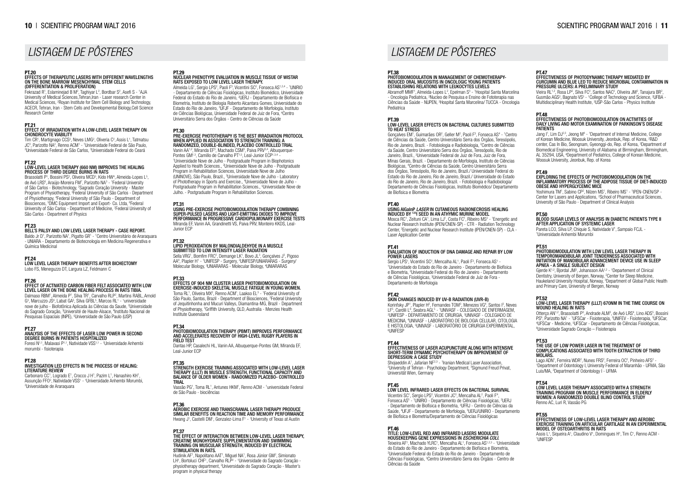# PT.29 Nuclear phenotype evaluation in muscle tissue of Wistar rats exposed to low level laser therapy.

Almeida LG<sup>1</sup>, Sergio LPS<sup>2</sup>, Paoli F<sup>3</sup>, Vicentini SC<sup>2</sup>, Fonseca AS<sup>1,2,4</sup> - <sup>1</sup>UNIRIO - Departamento de Ciências Fisiológicas, Instituto Biomédico, Universidade Federal do Estado do Rio de Janeiro, <sup>2</sup>UERJ - Departamento de Biofísica e Biometria, Instituto de Biologia Roberto Alcantara Gomes, Universidade do Estado do Rio de Janeiro, <sup>3</sup>UFJF - Departamento de Morfologia, Instituto de Ciências Biológicas, Universidade Federal de Juiz de Fora, <sup>4</sup> Centro Universitário Serra dos Órgãos - Centro de Ciências da Saúde

PT.30

Vanin AA<sup>1,2</sup>, Miranda EF<sup>3</sup>, Machado CSM<sup>3</sup>, Paiva PRV<sup>3,4</sup>, Albuquerque-Pontes GM<sup>1,3</sup>, Camillo de Carvalho PT<sup>1,5</sup>, Leal-Junior ECP<sup>1,3,4</sup> -<br><sup>1</sup>Universidade Nove de Julho - Postgraduate Program in Biophotonics Applied to Health Sciences., <sup>2</sup>Universidade Nove de Julho - Postgraduate Program in Rehabilitation Sciences, Universidade Nove de Julho (UNINOVE), São Paulo, Brazil., <sup>3</sup>Universidade Nove de Julho - Laboratory of Phototherapy in Sports and Exercise., <sup>4</sup>Universidade Nove de Julho -Postgraduate Program in Rehabilitation Sciences., <sup>5</sup>Universidade Nove de Julho. - Postgraduate Program in Rehabilitation Sciences.

# Pre-exercise phototherapy is the best irradiation protocol when applied in association to strength training: a randomized, double-blinded, placebo controlled trial

### PHOTOBIOMODULATION THERAPY (PBMT) IMPROVES PERFORMANCE AND ACCELERATES RECOVERY OF HIGH-LEVEL RUGBY PLAYERS IN FIELD TEST

### STRENGTH EXERCISE TRAINING ASSOCIATED WITH LOW-LEVEL LASE<br>THERAPY (LLLT) IN MUSCLE STRENGTH, FUNCTIONAL CAPACITY AND<br>BALANCE OF OLDER WOMEN - RANDOMIZED PLACEBO- CONTROLLE trial

### PT.31

Vassão PG<sup>1</sup>, Toma RL<sup>1</sup>, Antunes HKM<sup>1</sup>, Renno ACM - <sup>1</sup>universidade Federal de São Paulo - biociências

PT.36 AEROBIC EXERCISE AND TRANSCRANIAL LASER THERAPY PRODUCE SIMILAR BENEFITS ON REACTION TIME AND MEMORY PERFORMANCE Hwang J<sup>1</sup>, Castelli DM<sup>1</sup>, Gonzalez-Lima F<sup>1</sup> - <sup>1</sup>University of Texas at Austin

### **PT 37**

Using Pre-Exercise Photobiomodulation Therapy Combining Super-Pulsed Lasers and Light-Emitting Diodes to Improve Performance in Progressive Cardiopulmonary Exercise Tests Miranda EF, Vanin AA, Grandinetti VS, Paiva PRV, Monteiro KKDS, Leal-Junior ECP

# PT.32 Lipid peroxidation by malondialdehyde in a muscle submitted to low intensity laser radiation

Sella VRG<sup>1</sup>, Bomfim FRC<sup>2</sup>, Demange LK<sup>1</sup>, Bovo JL<sup>3</sup>, Gonçalves J<sup>3</sup>, Pigoso AA<sup>4</sup>, Plapler H<sup>1</sup> - <sup>1</sup>UNIFESP - Surgery, <sup>2</sup>UNIFESP/UNIARARAS - Surgery/ Molecular Biology, <sup>3</sup>UNIARARAS - Molecular Biology, <sup>4</sup>UNIARARAS

Hudinik AF<sup>1</sup>, Napolitano AAT<sup>1</sup>, Miguel NA<sup>1</sup>, Rosa Júnior GM<sup>2</sup>, Simionato LH<sup>1</sup>, Bortoluci CHF<sup>1</sup>, Carvalho RLP<sup>2</sup> - <sup>1</sup>Universidade do Sagrado Coração physiotherapy department, 2 Universidade do Sagrado Coração - Master's program in physical therapy

Abramoff MMF<sup>1</sup>, Almeida-Lopes L<sup>2</sup>, Epelman S<sup>3</sup> - <sup>1</sup>Hospital Santa Marcelina - Oncologia Pediatrica, <sup>2</sup> Nucleo de Pesquisa e Ensino de Fototerapia nas Ciências da Saúde - NUPEN, <sup>3</sup> Hospital Santa Marcelina/ TUCCA - Oncologia Pediatrica

### PT.33

### Effects of 904 nm cluster LASER photobiomodulation on exercise-induced skeletal muscle fatigue in young women. Toma RL<sup>1</sup>, Oliveira MX<sup>2</sup>, Renno ACM<sup>1</sup>, Laakso EL<sup>3</sup> - <sup>1</sup> Federal University of São Paulo, Santos, Brazil - Department of Biosciences, <sup>2</sup> Federal University of Jequitinhonha and Mucuri Valleys, Diamantina-MG, Brazil - Department of Physiotherapy, <sup>3</sup>Griffith University, QLD, Australia - Menzies Health Institute Queensland

Gonçalves EM<sup>1</sup>, Guimarães OR<sup>2</sup>, Geller M<sup>2</sup>, Paoli F<sup>3</sup>, Fonseca AS<sup>4</sup> - <sup>1</sup>Centro de Ciências da Saúde, Centro Universitário Serra dos Órgãos, Teresópolis, Rio de Janeiro, Brazil. - Fotobiologia e Radiobiologia, <sup>2</sup>Centro de Ciências da Saúde, Centro Universitário Serra dos Órgãos, Teresópolis, Rio de Janeiro, Brazil., <sup>3</sup>Universidade Federal de Juiz de Fora, Juiz de Fora, Minas Gerais, Brazil. - Departamento de Morfologia, Instituto de Ciências Biológicas, <sup>4</sup> Centro de Ciências da Saúde, Centro Universitário Serra dos Órgãos, Teresópolis, Rio de Janeiro, Brazil./ Universidade Federal do Estado do Rio de Janeiro, Rio de Janeiro, Brazil./ Universidade do Estado do Rio de Janeiro, Rio de Janeiro, Brazil. - Fotobiologia e Radiobiologia/ Departamento de Ciências Fisiológicas, Instituto Biomédico/ Departamento de Biofísica e Biometria

### PT.34

Mosca RC<sup>1</sup>, Zeituni CA<sup>1</sup>, Lima LJ<sup>1</sup>, Costa FC<sup>1</sup>, Ribeiro MS<sup>2</sup> - <sup>1</sup>Energetic and Nuclear Research Institute (IPEN/CNEN-SP) - CTR - Radiation Technology Center, 2 Energetic and Nuclear Research Institute (IPEN/CNEN-SP) - CLA - Laser Application Center

Dantas HP, Casalechi HL, Vanin AA, Albuquerque-Pontes GM, Miranda EF, Leal-Junior ECP

### **PT 41**

### **PT 35**

Sergio LPS<sup>1</sup>, Vicentini SC<sup>2</sup>, Mencalha AL<sup>1</sup>, Paoli F<sup>3</sup>, Fonseca AS<sup>1</sup> Sergio LPS<sup>+</sup>, Vicentini SC<sup>2</sup>, Mencalha AL<sup>+</sup>, Paoli Fª, Fonseca AS<sup>+</sup> -<br><sup>1</sup>Universidade do Estado do Rio de Janeiro - Departamento de Biofísica e Biometria, <sup>2</sup> Universidade Federal do Rio de Janeiro - Departamento de Ciências Fisiológicas, <sup>3</sup> Universidade Federal de Juíz de Fora - Departamento de Morfologia

Korinfsky JP<sup>1</sup>, Plapler H<sup>2</sup>, Fernandes TOM<sup>3</sup>, Menezes VG<sup>4</sup>, Santos I<sup>3</sup>, Neves LF5, Cardili L6, Seabra AGL5 - 1UNIVASF - COLEGIADO DE ENFERMAGEM,<br>?UNIFESP - DEPARTAMENTO DE CIRURGIA, 3UNIVASF - COLEGIADO DE MEDICINA, <sup>4</sup> UNIVASF - LABORATÓRIO DE BIOLOGIA CELULAR, CITOLOGIA E HISTOLOGIA, <sup>5</sup> UNIVASF - LABORATÓRIO DE CIRURGIA EXPERIMENTAL, 6 UNIFESP

### **PT 44**

Shojaeddin A<sup>1</sup>, Jafarian NF<sup>2,3</sup> - <sup>1</sup>Iranian Medical Laser Association, 2 University of Tehran - Psychology Department, <sup>3</sup> Sigmund Freud Privat, Universität Wien, Germany

### The effect of interaction between low-level laser therapy, creatine monohydrate supplementation and swimming training on muscular strength, induced by electrical stimulation in rats.

Vicentini SC<sup>1</sup>, Sergio LPS<sup>2</sup>, Vicentini JC<sup>3</sup>, Mencalha AL<sup>2</sup>, Paoli F<sup>4</sup>, Fonseca AS<sup>5</sup> - <sup>1</sup>UNIRIO - Departamento de Ciências Fisiológicas, <sup>2</sup>UERJ - Departamento de Biofísica e Biometria, <sup>3</sup> UFRJ - Centro de Ciências da Saúde, <sup>4</sup>UFJF - Departamento de Morfologia, <sup>5</sup>UERJ/UNIRIO - Departamento de Biofísica e Biometria/Departamento de Ciências Fisiológicas

Teixeira AF<sup>1</sup>, Machado YLRC<sup>1</sup>, Mencalha AL<sup>1</sup>, Fonseca AS<sup>1,2,3</sup> - <sup>1</sup>Universidade do Estado do Rio de Janeiro - Departamento de Biofísica e Biometria, 2 Universidade Federal do Estado do Rio de Janeiro - Departamento de Ciências Fisiológicas, <sup>3</sup> Centro Universitário Serra dos Órgãos - Centro de Ciências da Saúde

### PT.38

# Photobiomodulation in management of chemotherapy-induced oral mucositis in oncologic young patients establishing relations with leukocytes levels

### PT.39

### Low-level laser effects on bacterial cultures submitted to heat stress

Jang I<sup>1</sup>, Lim DJ<sup>2,3</sup>, Jeong M<sup>4</sup> - <sup>1</sup>Department of Internal Medicine, College of Korean Medicine, Woosuk University, Jeonbuk, Rep. of Korea, <sup>2</sup>R&D center, Cas In Bio, Seongnam, Gyeonggi-do, Rep. of Korea, <sup>3</sup> Department of Biomedical Engineering, University of Alabama at Birmingham, Birmingham, AL 35294, USA, <sup>4</sup> Department of Pediatrics, College of Korean Medicine, Woosuk University, Jeonbuk, Rep. of Korea

PT.49<br>Exploring the effects of photobiomodulation on the<br>INFLAMMATORY PROCESS OF THE ADIPOSE TISSUE OF DIET-INDUCE<br>OBESE AND HYPERGLYCEMIC MICE

Yoshimura TM<sup>1</sup>, Sabino CP<sup>2</sup>, Nilzen MS<sup>1</sup>, Ribeiro MS<sup>1</sup> - <sup>1</sup>IPEN-CNEN/SP -Center for Lasers and Applications, <sup>2</sup>School of Pharmaceutical Sciences, University of São Paulo - Department of Clinical Analysis

Pareta LCO, Silva LP, Chiquie S, Natividade V<sup>1</sup>, Sampaio FCJL -1 Universidade Anhembi Morumbi

Gjerde  $K^{1,2}$ , Bjordal JM<sup>3</sup>, Johansson AA<sup> $1,2$ </sup> - <sup>1</sup>Departement of Clinical Dentistry, University of Bergen, Norway, <sup>2</sup>Center for Sleep Medicine, Haukeland University Hospital, Norway, <sup>3</sup>Department of Global Public Health and Primary Care, University of Bergen, Norway

Otterço AN<sup>1,2</sup>, Brassolatti P<sup>3</sup>, Andrade ALM<sup>3</sup>, de Avó LRS<sup>4</sup>, Lino ADS<sup>5</sup>, Bossini PS<sup>6</sup>, Parizotto NA<sup>1</sup> - <sup>1</sup>UFSCar - Fisioterapia, <sup>2</sup>UNIFEV - Fisioterapia, <sup>3</sup>UFSCar, 4 UFSCar - Medicine, <sup>5</sup> UFSCar - Departamento de Ciências Fisiológicas, 6 Universidade Sagrado Coração – Fisioterapia

Lago ADN<sup>1</sup>, Ferreira WDR<sup>2</sup>, Nunes FRS<sup>2</sup>, Ferreira OC<sup>2</sup>, Pinheiro AFS<sup>2</sup> -<br>1Department of Odontology L University Federal of Maranhão - UEMA <sup>1</sup>Department of Odontology I, University Federal of Maranhão - UFMA, São Luís/MA, <sup>2</sup> Department of Odontology I - UFMA

### PT.40

### USING AlGaInP *LASER* IN CUTANEOUS RADIONECROSIS HEALING INDUCED BY 125I SEED IN AN ATHYMIC MURINE MODEL

Assis L<sup>1</sup>, Siqueira A<sup>1</sup>, Claudino V<sup>1</sup>, Domingues H<sup>1</sup>, Tim C<sup>1</sup>, Renno ACM -1 UNIFESP

### EVALUATION OF INDUCTION OF DNA DAMAGE AND REPAIR BY LOW POWER LASERS

Fekrazad R<sup>1</sup>, Eslaminejad B M<sup>2</sup>, Taghiyar L<sup>2</sup>, Bordbar S<sup>2</sup>, Asefi S - <sup>1</sup>AJA University of Medical Sciences,Tehran,Iran - Laser research Center in Medical Sciences, <sup>2</sup>Royan Institute for Stem Cell Biology and Technology, ACECR, Tehran, Iran - Stem Cells and Developmental Biology,Cell Science Research Center

# PT.21<br>EFFECT OF IRRADIATION WITH A LOW-LEVEL LASER THERAPY O<br>CHONDROCYTE VIABILITY

Tim CR<sup>1</sup>, Martignago CCS<sup>2</sup>, Neves LMG<sup>2</sup>, Oliveria C<sup>2</sup>, Assis L<sup>1</sup>, Tatmatsu JC<sup>3</sup>, Parizotto NA<sup>2</sup>, Renno ACM<sup>1</sup> - <sup>1</sup>Universidade Federal de São Paulo, <sup>2</sup>Universidade Federal de São Carlos, <sup>3</sup>Universidade Federal do Ceará

### **PT** 22 LOW-LEVEL LASER THERAPY (660 nm) IMPROVES THE HEALING PROCESS OF THIRD DEGREE BURNS IN RATS

### PT.42 Skin changes induced by UV-B radiation (UVR-B)

Brassolatti P<sup>1</sup>, Bossini PS<sup>2</sup>, Oliveira MCD<sup>3</sup>, Kido HW<sup>4</sup>, Almeida-Lopes L<sup>5</sup>, de Avó LRS<sup>6</sup>, Araújo-Moreira FM<sup>7</sup>, Parizotto NA<sup>3</sup> - <sup>1</sup> Federal University of São Carlos - Biotechnology, <sup>2</sup>Sagrado Coração University - Master Program of Physiotherapy, <sup>3</sup>Federal University of São Carlos - Department of Physiotherapy, <sup>4</sup> Federal University of São Paulo - Department of Biosciences, <sup>5</sup>DMC Equipment Import and Export- Co. Ltda, <sup>6</sup>Federal University of São Carlos - Department of Medicine, <sup>7</sup> Federal University of São Carlos - Department of Physics

### Effectiveness of Laser Acupuncture Along With Intensive Short-term Dynamic Psychotherapy on Improvement of Depression: a Case study

### INVESTIGATION LED EFFECTS IN THE PROCESS OF HEALING: LITERATURE REVIEW

### PT.45

### Low level infrared laser effects on bacterial survival

Carbonaro CC<sup>1</sup>, Logrado E<sup>1</sup>, Crocco J H<sup>1</sup>, Pazim L<sup>1</sup>, Hanashiro KH<sup>1</sup>, Assunção FFO<sup>2</sup>, Natividade VSS<sup>1</sup> - <sup>1</sup>Universidade Anhembi Morumbi, 2 Universidade de Araraquara

### PT.46 TITLE: LOW-LEVEL RED AND INFRARED LASERS MODULATE HOUSEKEEPING GENE EXPRESSIONS IN *Escherichia coli*.

# PT.47 EFFECTIVENESS OF PHOTODYNAMIC THERAPY MEDIATED BY CURCUMIN AND BLUE LED TO REDUCE MICROBIAL CONTAMINATION IN PRESSURE ULCERS: A PRELIMINARY STUDY

Vieira RL<sup>1,2</sup>, Rosa LP<sup>2</sup>, Silva FC<sup>2</sup>, Santos NAC<sup>2</sup>, Oliveira JM<sup>2</sup>, Tanajura BR<sup>2</sup>, Gusmão AGS<sup>2</sup>, Bagnato VS<sup>3</sup> - <sup>1</sup>College of Technology and Science, <sup>2</sup>UFBA -Multidisciplinary Health Institute, <sup>3</sup>USP-São Carlos - Physics Institute

### PT.48 Effectiveness of photobiomodulation on activities of daily living and motor examination of Parkinson's disease patients

### PT.50

### Blood sugar levels of analysis in diabetic patients type II after application of systemic laser

# PT.51 Photobiomodulation with Low Level Laser Therapy in temporomandibular joint tenderness associated with initiation of mandibular advancement device use in sleep apnea - A single subject design

### PT.52 LOW-LEVEL LASER THERAPY (LLLT) 670nm IN THE TIME COURSE ON WOUND HEALING IN RATS

### PT.53 THE USE OF LOW POWER LASER IN THE TREATMENT OF COMPLICATIONS ASSOCIATED WITH TOOTH EXTRACTION OF THIRD MOLARS.

PT.54 Low level laser therapy associated with a strength training program on muscle performance in elderly women: a randomized double blind control study Renno AC, Luri R, Vassão PG

PT.55 Effectiveness of low-level laser therapy and aerobic exercise training on articular cartilage in an experimental model of osteoarthritis in rats

# *LISTAGEM DE PÔSTERES LISTAGEM DE PÔSTERES*

### PT.20

# Effects of Therapeutic Lasers with Different Wavelengths on the Bone Marrow Mesenchymal Stem Cells (differentiation & proliferation)

### PT.23

Bell's palsy and low level laser therapy - case report. Baldo Jr D<sup>1</sup>, Parizotto NA<sup>1</sup>, Pigatto GR<sup>1</sup> - <sup>1</sup> Centro Universitário de Araraquara - UNIARA - Departamento de Biotecnologia em Medicina Regenerativa e Química Medicinal

### PT.24

Low level laser therapy benefits after bichectomy Lobo FS, Meneguzzo DT, Largura LZ, Feldmann C

### PT.26 Effect of activated carbon fiber felt associated with low level laser on the bone healing process in rats tibia.

Dalmaso RBM<sup>1</sup>, Almeida P<sup>1</sup>, Silva TR<sup>1</sup>, Carvalho RLP<sup>2</sup>, Martins RABL, Arnold G<sup>3</sup>, Marcuzzo JS<sup>4</sup>, Labat GA<sup>5</sup>, Silva GFBL<sup>5</sup>, Marcos RL<sup>1</sup> - <sup>1</sup>universidade nove de julho - Biofotônica Aplicada às Ciências da Saude, <sup>2</sup> Universidade do Sagrado Coração, <sup>3</sup>Université de Haute-Alsace, <sup>4</sup>Instituto Nacional de Pesquisas Espaciais (INPE), <sup>5</sup>Universidade de São Paulo (USP)

### **PT** 27

### ANALYSIS OF THE EFFECTS OF LASER LOW POWER IN SECOND DEGREE BURNS IN PATIENTS HOSPITALIZED

Foresi N<sup>1,1</sup>, Malavasi P<sup>1,1</sup>, Natividade VSS<sup>1,1</sup> - <sup>1</sup>Universidade Anhembi morumbi - fisioterapia

### PT.28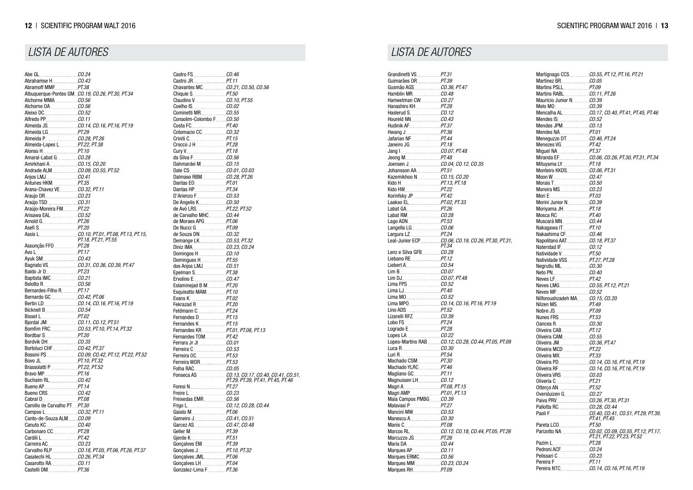|                                           | Albuquerque-Pontes GMCO.19, CO.26, PT.30, PT.34 |
|-------------------------------------------|-------------------------------------------------|
|                                           |                                                 |
| Alchorne OA 20.56                         |                                                 |
|                                           |                                                 |
|                                           |                                                 |
|                                           |                                                 |
|                                           |                                                 |
|                                           |                                                 |
| Almeida-Lopes L PT.22, PT.38              |                                                 |
| Alonso H. PT.10                           |                                                 |
|                                           |                                                 |
|                                           |                                                 |
|                                           |                                                 |
|                                           |                                                 |
| Antunes HKM PT.35                         |                                                 |
|                                           |                                                 |
|                                           |                                                 |
|                                           |                                                 |
| Araújo-Moreira FMPT.22                    |                                                 |
|                                           |                                                 |
|                                           |                                                 |
|                                           |                                                 |
|                                           |                                                 |
|                                           | PT.18, PT.21, PT.55                             |
| Assunção FFO PT.28                        |                                                 |
|                                           |                                                 |
|                                           |                                                 |
|                                           | Bagnato VS. CO.31, CO.36, CO.39, PT.47          |
|                                           |                                                 |
|                                           |                                                 |
|                                           |                                                 |
| Bernardes-Filho R. PT.17                  |                                                 |
|                                           |                                                 |
|                                           | Bertin LD CO.14, CO.16, PT.16, PT.19            |
|                                           |                                                 |
| Bisset L____________________ <i>PT.02</i> |                                                 |
|                                           |                                                 |
|                                           |                                                 |
|                                           |                                                 |
|                                           |                                                 |
|                                           |                                                 |
|                                           |                                                 |
| Bovo JL PT.10, PT.32                      |                                                 |
| Brassolatti P PT.22, PT.52                |                                                 |
|                                           |                                                 |
|                                           |                                                 |
|                                           |                                                 |
|                                           |                                                 |
| Camillo de Carvalho PTPT.30               |                                                 |
|                                           |                                                 |
| Canto-de-Souza ALMCO.09                   |                                                 |
|                                           |                                                 |
|                                           |                                                 |
|                                           |                                                 |
|                                           |                                                 |
|                                           |                                                 |
|                                           |                                                 |
| Casarotto RA CO.11                        |                                                 |
|                                           |                                                 |
|                                           |                                                 |

Castro FS<br>Castro JR<br>*PT.11* Castro JR *PT.11* Chavantes MC *CO.21, CO.50, CO.56* Chiquie S...<br>Claudino V Claudino V *CO.10, PT.55* Coelho IS<br>
Cominetti MR<br>
CO.55 Cominetti MR<br>
Consolim-Colombo F CO.50 Consolim-Colombo F *CO.50* Costa FC<br>
Cotomacio CC<br>
CO.32 Cotomacio CC<br>Criniti C<br>PT.15 Criniti<sub>C.</sub> Crocco J H<br>
Cury V<sub>…</sub> *PT.18* Cury V<sub>11</sub> PT.18<br>da Silva F<sub>11</sub> CO.56 da Silva F *CO.56* Dahmardei M.<br>Dale CS............. Dale CS *CO.01, CO.03* Dalmaso RBM<br>Dantas EO<br>*PT.01* Dantas EO *PT.01*<br>Dantas HP *PT.34* Dantas HP<br>D'Arienzo F *CO.53* D'Arienzo F. De Angelis K *CO.50* de Avó LRS<br>de Carvalho MHC<br>*CO.44* de Carvalho MHC *CO.44*<br>de Moraes APG *PT.06* de Moraes APG *PT.06*<br>De Nucci G *PT.09* De Nucci G *PT.09* de Souza DN.<br>Demange LK. Demange LK<br>Diniz IMA<br>CO.23, CO.24 Diniz IMA *CO.23, CO.24* **Domingos H** *CO.10*<br> **Domingues H** *PT.55* Domingues H *PT.55* dos Anjos LMJ Epelman S *PT.38* Ervolino E *CO.47*<br>Eslaminejad B M *PT.20* Eslaminejad B M. Esquisatto MAM *PT.10*<br>Evans K *PT.02* Evans K *PT.02* Fekrazad R *PT.20* Feldmann C *PT.24* Fernandes D<br>Fernandes K<br>*PT.15* Fernandes K....<br>Fernandes KR Fernandes KR *PT.01, PT.08, PT.13* Fernandes TOM *PT.42*<br>Ferrara Jr JI *CO.01* Ferrara Jr JI *CO.01* Ferreira C *CO.53* Ferreira OC *PT.53*<br>Ferreira WDR *PT.53* Ferreira WDR *PT.53*<br>Folha RAC *CO.05* Folha RAC Fonseca AS *CO.13, CO.17, CO.40, CO.41, CO.51, PT.29, PT.39, PT.41, PT.45, PT.46* Foresi N<br>**Freire L PT.27**<br>CO.23 Freire L *CO.23* Freixedas EMR Frigo L *CO.12, CO.28, CO.44* Gaiato M....<br>Gameiro J Gameiro J *CO.41, CO.51* Garcez AS *CO.47, CO.48*<br>Geller M *PT.39* Geller M *PT.39* Gierde K Gonçalves EM *PT.39* Gonçalves J<sub>*m</sub></sub> PT.10, PT.32*<br>Goncalves JML *PT.06*</sub> Goncalves JML Gonçalves LH *PT.04* Gonzalez-Lima F.

Grandinetti VS *PT.31* Guimarães OR<br>Gusmão AGS<br>*CO.36, PT.47* Gusmão AGS<br>
Hamblin MR<br>
CO.48 Hamblin MR<br>**Hameetman CW** *CO.27* Hameetman CW *CO.27* Hanashiro KH<br>**Haslerud S** *CO.12* Haslerud S<br>
Houreld NN CO.43 **Houreld NN** Hudinik AF *PT.37* Hwang J *PT.36* **Jafarian NF**. Janeiro JG *PT.18* Jang **I** *CO.07, PT.48*<br>Jeong M. *PT.48* Jeong M. Joensen J<br>Johansson AA<br>*PT.51*<br>*PT.51* Johansson AA.<br>Kazemikhoo N Kazemikhoo N *CO.15, CO.20* Kido H *PT.13, PT.18* Kido HW<br>*PT.22*<br>Korinfsky JP *PT.42* Korinfsky JP. Laakso EL *PT.02, PT.33* Labat GA *PT.26*<br>Labat RM *CO.28* Labat RM<br>*CO.28*<br>*PT.53* Lago ADN *PT.53* Langella LG *CO.06*<br>Largura LZ PT.24 Largura LZ<br>Leal-Junior ECP Leal-Junior ECP *CO.06, CO.19, CO.26, PT.30, PT.31, PT.34* Lenz e Silva GFB *CO.28*<br>Liebano RE *PT.12* Liebano RE *PT.12*<br>
Liebert A *CO.54* Liebert A.<br>Lim B Lim B *CO.07* Lim DJ<br>*CO.07, PT.48*<br>Lima FPS<br>*CO.52* Lima FPS<br>
Lima LJ<br>
PT.40 Lima LJ Lima MO<br>
Lima MPO<br>
CO.14, Lima MPO *CO.14, CO.16, PT.16, PT.19* Lino ADS. Lizarelli RFZ *CO.39*<br>Lobo FS *PT.24* Lobo FS *PT.24* Logrado E Lopes LA<br>
Lopes-Martins RAB CO.12 Lopes-Martins RAB *CO.12, CO.28, CO.44, PT.05, PT.09* Luca R<br>**Luci R** 20.30<br>*PT.54* Luri R *PT.54* Machado CSM *PT.30*<br>Machado YLRC *PT.46* Machado YLRC *PT.46*<br>Magliano GC *PT.11* Magliano GC *PT.11* Magnussen LH<sub>c</sub> Magri A *PT.08, PT.15* Magri AMP *PT.01, PT.13* Maia Campos PMBG *CO.39*<br>Malavasi P *PT.27* Malavasi P<br>*PT.27*<br>Mancini MW Mancini MW <u>*CO.53*</u><br>Manescu A *CO.30* Manescu A *CO.30*<br>Manis C *PT.08* Manis C......<br>Marcos RI Marcos RL *CO.12, CO.18, CO.44, PT.05, PT.26* Marcuzzo JS Maria DA *CO.44* Marques AP<br>**Marques ERMC CO.56 Marques ERMC** Marques MM *CO.23, CO.24* Marques RH *PT.09*

| Miguel NA PT.37                                       |                                                                        |
|-------------------------------------------------------|------------------------------------------------------------------------|
|                                                       |                                                                        |
|                                                       |                                                                        |
| Monteiro KKDS CO.06, PT.31                            |                                                                        |
|                                                       |                                                                        |
|                                                       |                                                                        |
|                                                       |                                                                        |
|                                                       |                                                                        |
|                                                       |                                                                        |
|                                                       |                                                                        |
|                                                       |                                                                        |
|                                                       |                                                                        |
| Nakagawa IT PT.10                                     |                                                                        |
|                                                       |                                                                        |
| Napolitano AAT CO.18, PT.37                           |                                                                        |
|                                                       |                                                                        |
| Natividade V. PT.50                                   |                                                                        |
| Natividade VSS PT.27, PT.28                           |                                                                        |
|                                                       |                                                                        |
|                                                       |                                                                        |
|                                                       |                                                                        |
|                                                       |                                                                        |
|                                                       |                                                                        |
| Nilforoushzadeh MA CO.15, CO.20                       |                                                                        |
|                                                       |                                                                        |
|                                                       |                                                                        |
|                                                       |                                                                        |
|                                                       |                                                                        |
|                                                       |                                                                        |
|                                                       |                                                                        |
|                                                       |                                                                        |
| Oliveira MCD PT.22                                    |                                                                        |
|                                                       |                                                                        |
|                                                       |                                                                        |
|                                                       |                                                                        |
|                                                       |                                                                        |
| Oliveria C. PT.21                                     |                                                                        |
|                                                       |                                                                        |
|                                                       |                                                                        |
| Paiva PRV ________________________CO.26, PT.30, PT.31 |                                                                        |
|                                                       |                                                                        |
|                                                       | Paoli F. 29, PT.39, CO.40, CO.41, CO.51, PT.29, PT.39,<br>PT.41, PT.45 |
|                                                       |                                                                        |
|                                                       |                                                                        |
|                                                       | PT.21, PT.22, PT.23, PT.52                                             |
|                                                       |                                                                        |
|                                                       |                                                                        |
|                                                       |                                                                        |
|                                                       |                                                                        |
|                                                       |                                                                        |
|                                                       |                                                                        |

### *LISTA DE AUTORES LISTA DE AUTORES*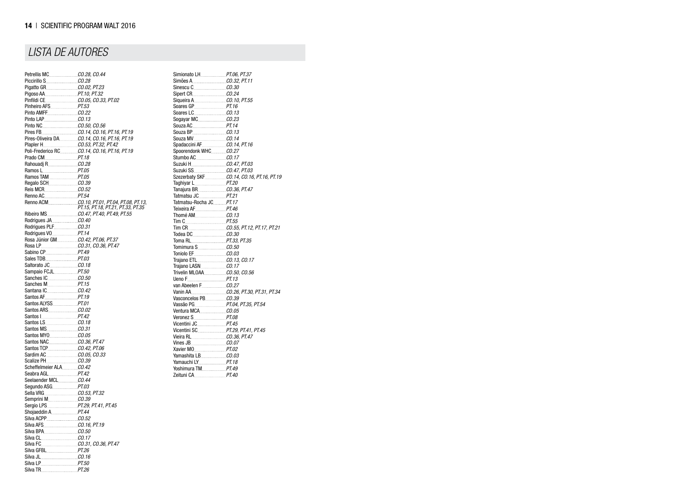|                                           | Pires-Oliveira DA CO.14, CO.16, PT.16, PT.19 |
|-------------------------------------------|----------------------------------------------|
| Plapler H. CO.53, PT.32, PT.42            |                                              |
|                                           | Poli-Frederico RC CO.14, CO.16, PT.16, PT.19 |
|                                           |                                              |
|                                           |                                              |
| Ramos L____________________ <i>_PT.05</i> |                                              |
|                                           |                                              |
|                                           |                                              |
|                                           |                                              |
|                                           |                                              |
|                                           |                                              |
|                                           | PT.15, PT.18, PT.21, PT.33, PT.35            |
|                                           |                                              |
| Rodrigues JA CO.40                        |                                              |
|                                           |                                              |
|                                           |                                              |
| Rosa Júnior GM CO.42, PT.06, PT.37        |                                              |
| Rosa LP CO.31, CO.36, PT.47               |                                              |
|                                           |                                              |
|                                           |                                              |
|                                           |                                              |
| Sampaio FCJL PT.50                        |                                              |
|                                           |                                              |
|                                           |                                              |
|                                           |                                              |
| Santos AF 2008 2009 2010                  |                                              |
| Santos ALYSS PT.01                        |                                              |
|                                           |                                              |
|                                           |                                              |
|                                           |                                              |
|                                           |                                              |
|                                           |                                              |
|                                           |                                              |
|                                           |                                              |
|                                           |                                              |
|                                           |                                              |
|                                           |                                              |
| Seabra AGL _________________PT.42         |                                              |
|                                           |                                              |
| Segundo ASG PT.03                         |                                              |
|                                           |                                              |
|                                           |                                              |
|                                           |                                              |
| Shojaeddin A. PT.44                       |                                              |
|                                           |                                              |
|                                           |                                              |
|                                           |                                              |
|                                           |                                              |
| Silva CL CO.17                            |                                              |
| Silva FC Carrier CO.31, CO.36, PT.47      |                                              |
|                                           |                                              |
|                                           |                                              |
|                                           |                                              |
| Silva TR PT.26                            |                                              |

| Simionato LH. PT.06, PT.37  |                                    |
|-----------------------------|------------------------------------|
|                             |                                    |
|                             |                                    |
|                             |                                    |
|                             |                                    |
|                             |                                    |
|                             |                                    |
|                             |                                    |
| Souza AC PT.14              |                                    |
|                             |                                    |
|                             |                                    |
|                             |                                    |
|                             |                                    |
|                             |                                    |
| Suzuki H. CO.47, PT.03      |                                    |
| Suzuki SS CO.47, PT.03      |                                    |
|                             |                                    |
|                             |                                    |
|                             |                                    |
|                             |                                    |
| Tatmatsu-Rocha JC PT.17     |                                    |
|                             |                                    |
|                             |                                    |
|                             |                                    |
|                             | Tim CR. CO.55, PT.12, PT.17, PT.21 |
|                             |                                    |
| Toma RL PT.33, PT.35        |                                    |
|                             |                                    |
|                             |                                    |
|                             |                                    |
|                             |                                    |
| Trivelin MLOAA CO.50, CO.56 |                                    |
|                             |                                    |
|                             |                                    |
|                             |                                    |
|                             |                                    |
|                             |                                    |
|                             |                                    |
|                             |                                    |
|                             |                                    |
|                             |                                    |
|                             |                                    |
|                             |                                    |
|                             |                                    |
| Yamashita LB. CO.03         |                                    |
| Yamauchi LY. PT.18          |                                    |
| Yoshimura TM PT.49          |                                    |
|                             |                                    |
|                             |                                    |

# *LISTA DE AUTORES*